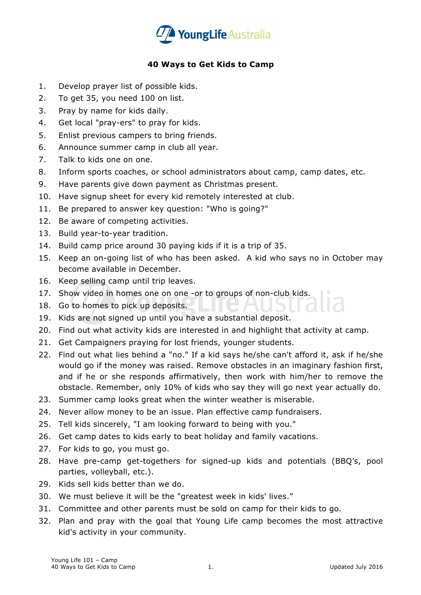

## **40 Ways to Get Kids to Camp**

- 1. Develop prayer list of possible kids.
- 2. To get 35, you need 100 on list.
- 3. Pray by name for kids daily.
- 4. Get local "pray-ers" to pray for kids.
- 5. Enlist previous campers to bring friends.
- 6. Announce summer camp in club all year.
- 7. Talk to kids one on one.
- 8. Inform sports coaches, or school administrators about camp, camp dates, etc.
- 9. Have parents give down payment as Christmas present.
- 10. Have signup sheet for every kid remotely interested at club.
- 11. Be prepared to answer key question: "Who is going?"
- 12. Be aware of competing activities.
- 13. Build year-to-year tradition.
- 14. Build camp price around 30 paying kids if it is a trip of 35.
- 15. Keep an on-going list of who has been asked. A kid who says no in October may become available in December.
- 16. Keep selling camp until trip leaves.
- 17. Show video in homes one on one -or to groups of non-club kids.
- 18. Go to homes to pick up deposits.
- 19. Kids are not signed up until you have a substantial deposit.
- 20. Find out what activity kids are interested in and highlight that activity at camp.
- 21. Get Campaigners praying for lost friends, younger students.
- 22. Find out what lies behind a "no." If a kid says he/she can't afford it, ask if he/she would go if the money was raised. Remove obstacles in an imaginary fashion first, and if he or she responds affirmatively, then work with him/her to remove the obstacle. Remember, only 10% of kids who say they will go next year actually do.
- 23. Summer camp looks great when the winter weather is miserable.
- 24. Never allow money to be an issue. Plan effective camp fundraisers.
- 25. Tell kids sincerely, "I am looking forward to being with you."
- 26. Get camp dates to kids early to beat holiday and family vacations.
- 27. For kids to go, you must go.
- 28. Have pre-camp get-togethers for signed-up kids and potentials (BBQ's, pool parties, volleyball, etc.).
- 29. Kids sell kids better than we do.
- 30. We must believe it will be the "greatest week in kids' lives."
- 31. Committee and other parents must be sold on camp for their kids to go.
- 32. Plan and pray with the goal that Young Life camp becomes the most attractive kid's activity in your community.